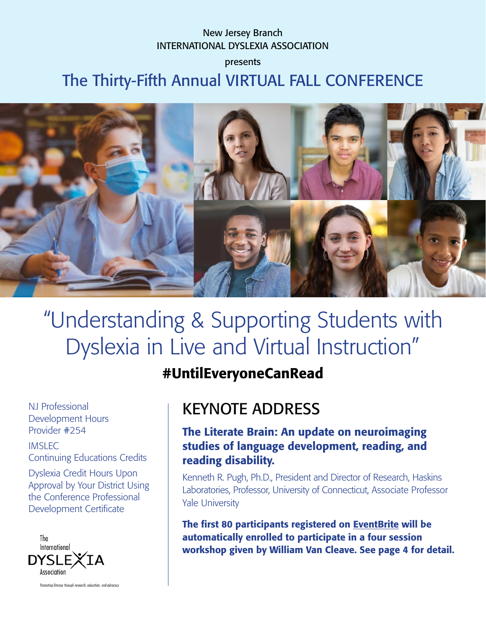## New Jersey Branch INTERNATIONAL DYSLEXIA ASSOCIATION

presents

The Thirty-Fifth Annual VIRTUAL FALL CONFERENCE



# "Understanding & Supporting Students with Dyslexia in Live and Virtual Instruction"

## #UntilEveryoneCanRead

NJ Professional Development Hours Provider #254

IMSLEC Continuing Educations Credits

Dyslexia Credit Hours Upon Approval by Your District Using the Conference Professional Development Certificate



Promoting literacy through research, education, and advocacy

## KEYNOTE ADDRESS

## The Literate Brain: An update on neuroimaging studies of language development, reading, and reading disability.

Kenneth R. Pugh, Ph.D., President and Director of Research, Haskins Laboratories, Professor, University of Connecticut, Associate Professor Yale University

The first 80 participants registered on [EventBrite](https://njida35.eventbrite.com) will be automatically enrolled to participate in a four session workshop given by William Van Cleave. See page 4 for detail.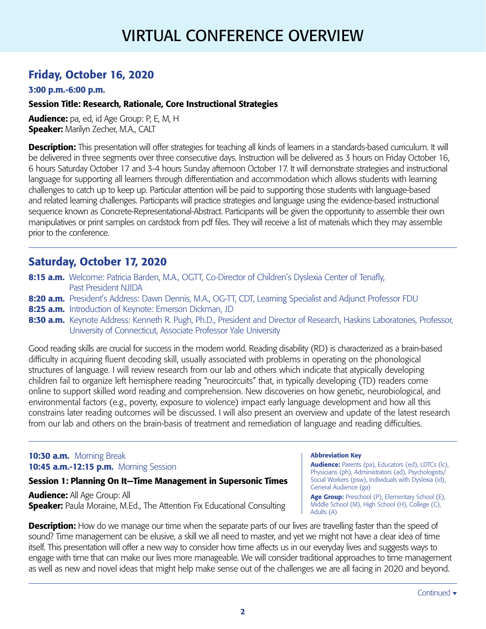## VIRTUAL CONFERENCE OVERVIEW

## Friday, October 16, 2020

#### 3:00 p.m.-6:00 p.m.

#### Session Title: Research, Rationale, Core Instructional Strategies

Audience: pa, ed, id Age Group: P, E, M, H **Speaker:** Marilyn Zecher, M.A., CALT

**Description:** This presentation will offer strategies for teaching all kinds of learners in a standards-based curriculum. It will be delivered in three segments over three consecutive days. Instruction will be delivered as 3 hours on Friday October 16, 6 hours Saturday October 17 and 3-4 hours Sunday afternoon October 17. It will demonstrate strategies and instructional language for supporting all learners through differentiation and accommodation which allows students with learning challenges to catch up to keep up. Particular attention will be paid to supporting those students with language-based and related learning challenges. Participants will practice strategies and language using the evidence-based instructional sequence known as Concrete-Representational-Abstract. Participants will be given the opportunity to assemble their own manipulatives or print samples on cardstock from pdf files. They will receive a list of materials which they may assemble prior to the conference.

## Saturday, October 17, 2020

- 8:15 a.m. Welcome: Patricia Barden, M.A., OGTT, Co-Director of Children's Dyslexia Center of Tenafly, Past President NJIDA
- 8:20 a.m. President's Address: Dawn Dennis, M.A., OG-TT, CDT, Learning Specialist and Adjunct Professor FDU
- 8:25 a.m. Introduction of Keynote: Emerson Dickman, JD
- 8:30 a.m. Keynote Address: Kenneth R. Pugh, Ph.D., President and Director of Research, Haskins Laboratories, Professor, University of Connecticut, Associate Professor Yale University

Good reading skills are crucial for success in the modern world. Reading disability (RD) is characterized as a brain-based difficulty in acquiring fluent decoding skill, usually associated with problems in operating on the phonological structures of language. I will review research from our lab and others which indicate that atypically developing children fail to organize left hemisphere reading "neurocircuits" that, in typically developing (TD) readers come online to support skilled word reading and comprehension. New discoveries on how genetic, neurobiological, and environmental factors (e.g., poverty, exposure to violence) impact early language development and how all this constrains later reading outcomes will be discussed. I will also present an overview and update of the latest research from our lab and others on the brain-basis of treatment and remediation of language and reading difficulties.

#### 10:30 a.m. Morning Break 10:45 **a.m.-12:15 p.m.** Morning Session

#### Session 1: Planning On It—Time Management in Supersonic Times

Audience: All Age Group: All **Speaker:** Paula Moraine, M.Ed., The Attention Fix Educational Consulting Abbreviation Key

Audience: Parents (pa), Educators (ed), LDTCs (lc), Physicians (ph), Administrators (ad), Psychologists/ Social Workers (psw), Individuals with Dyslexia (id), General Audience (ga)

Age Group: Preschool (P), Elementary School (E), Middle School (M), High School (H), College (C), Adults (A)

**Description:** How do we manage our time when the separate parts of our lives are travelling faster than the speed of sound? Time management can be elusive, a skill we all need to master, and yet we might not have a clear idea of time itself. This presentation will offer a new way to consider how time affects us in our everyday lives and suggests ways to engage with time that can make our lives more manageable. We will consider traditional approaches to time management as well as new and novel ideas that might help make sense out of the challenges we are all facing in 2020 and beyond.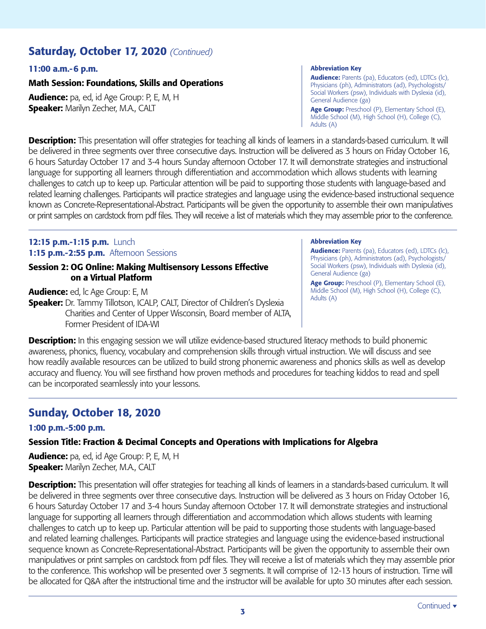## Saturday, October 17, 2020 *(Continued)*

#### 11:00 a.m.-6 p.m.

#### Math Session: Foundations, Skills and Operations

Audience: pa, ed, id Age Group: P, E, M, H **Speaker:** Marilyn Zecher, M.A., CALT

#### Abbreviation Key

Audience: Parents (pa), Educators (ed), LDTCs (lc), Physicians (ph), Administrators (ad), Psychologists/ Social Workers (psw), Individuals with Dyslexia (id), General Audience (ga)

Age Group: Preschool (P), Elementary School (E), Middle School (M), High School (H), College (C), Adults (A)

**Description:** This presentation will offer strategies for teaching all kinds of learners in a standards-based curriculum. It will be delivered in three segments over three consecutive days. Instruction will be delivered as 3 hours on Friday October 16, 6 hours Saturday October 17 and 3-4 hours Sunday afternoon October 17. It will demonstrate strategies and instructional language for supporting all learners through differentiation and accommodation which allows students with learning challenges to catch up to keep up. Particular attention will be paid to supporting those students with language-based and related learning challenges. Participants will practice strategies and language using the evidence-based instructional sequence known as Concrete-Representational-Abstract. Participants will be given the opportunity to assemble their own manipulatives or print samples on cardstock from pdf files. They will receive a list of materials which they may assemble prior to the conference.

#### 12:15 p.m.-1:15 p.m. Lunch 1:15 p.m.-2:55 p.m. Afternoon Sessions

#### Session 2: OG Online: Making Multisensory Lessons Effective on a Virtual Platform

Audience: ed, lc Age Group: E, M Speaker: Dr. Tammy Tillotson, ICALP, CALT, Director of Children's Dyslexia Charities and Center of Upper Wisconsin, Board member of ALTA, Former President of IDA-WI

#### Abbreviation Key

Audience: Parents (pa), Educators (ed), LDTCs (lc), Physicians (ph), Administrators (ad), Psychologists/ Social Workers (psw), Individuals with Dyslexia (id), General Audience (ga)

Age Group: Preschool (P), Elementary School (E), Middle School (M), High School (H), College (C), Adults (A)

**Description:** In this engaging session we will utilize evidence-based structured literacy methods to build phonemic awareness, phonics, fluency, vocabulary and comprehension skills through virtual instruction. We will discuss and see how readily available resources can be utilized to build strong phonemic awareness and phonics skills as well as develop accuracy and fluency. You will see firsthand how proven methods and procedures for teaching kiddos to read and spell can be incorporated seamlessly into your lessons.

## Sunday, October 18, 2020

#### 1:00 p.m.-5:00 p.m.

#### Session Title: Fraction & Decimal Concepts and Operations with Implications for Algebra

Audience: pa, ed, id Age Group: P, E, M, H **Speaker:** Marilyn Zecher, M.A., CALT

Description: This presentation will offer strategies for teaching all kinds of learners in a standards-based curriculum. It will be delivered in three segments over three consecutive days. Instruction will be delivered as 3 hours on Friday October 16, 6 hours Saturday October 17 and 3-4 hours Sunday afternoon October 17. It will demonstrate strategies and instructional language for supporting all learners through differentiation and accommodation which allows students with learning challenges to catch up to keep up. Particular attention will be paid to supporting those students with language-based and related learning challenges. Participants will practice strategies and language using the evidence-based instructional sequence known as Concrete-Representational-Abstract. Participants will be given the opportunity to assemble their own manipulatives or print samples on cardstock from pdf files. They will receive a list of materials which they may assemble prior to the conference. This workshop will be presented over 3 segments. It will comprise of 12-13 hours of instruction. Time will be allocated for Q&A after the intstructional time and the instructor will be available for upto 30 minutes after each session.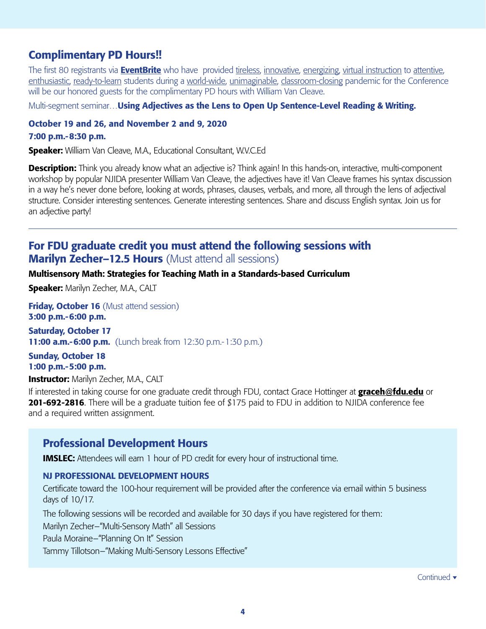## Complimentary PD Hours!!

The first 80 registrants via **[EventBrite](https://njida35.eventbrite.com)** who have provided tireless, innovative, energizing, virtual instruction to attentive, enthusiastic, ready-to-learn students during a world-wide, unimaginable, classroom-closing pandemic for the Conference will be our honored guests for the complimentary PD hours with William Van Cleave.

Multi-segment seminar... Using Adjectives as the Lens to Open Up Sentence-Level Reading & Writing.

#### October 19 and 26, and November 2 and 9, 2020

#### 7:00 p.m.-8:30 p.m.

Speaker: William Van Cleave, M.A., Educational Consultant, W.V.C.Ed

**Description:** Think you already know what an adjective is? Think again! In this hands-on, interactive, multi-component workshop by popular NJIDA presenter William Van Cleave, the adjectives have it! Van Cleave frames his syntax discussion in a way he's never done before, looking at words, phrases, clauses, verbals, and more, all through the lens of adjectival structure. Consider interesting sentences. Generate interesting sentences. Share and discuss English syntax. Join us for an adjective party!

## For FDU graduate credit you must attend the following sessions with **Marilyn Zecher–12.5 Hours** (Must attend all sessions)

#### Multisensory Math: Strategies for Teaching Math in a Standards-based Curriculum

Speaker: Marilyn Zecher, M.A., CALT

**Friday, October 16** (Must attend session) 3:00 p.m.-6:00 p.m.

Saturday, October 17 **11:00 a.m.-6:00 p.m.** (Lunch break from 12:30 p.m.-1:30 p.m.)

Sunday, October 18 1:00 p.m.-5:00 p.m.

**Instructor:** Marilyn Zecher, M.A., CALT

If interested in taking course for one graduate credit through FDU, contact Grace Hottinger at **[graceh@fdu.edu](mailto:graceh@fdu.edu)** or 201-692-2816. There will be a graduate tuition fee of \$175 paid to FDU in addition to NJIDA conference fee and a required written assignment.

### Professional Development Hours

**IMSLEC:** Attendees will earn 1 hour of PD credit for every hour of instructional time.

#### NJ PROFESSIONAL DEVELOPMENT HOURS

Certificate toward the 100-hour requirement will be provided after the conference via email within 5 business days of 10/17.

The following sessions will be recorded and available for 30 days if you have registered for them:

Marilyn Zecher–"Multi-Sensory Math" all Sessions

Paula Moraine–"Planning On It" Session

Tammy Tillotson–"Making Multi-Sensory Lessons Effective"